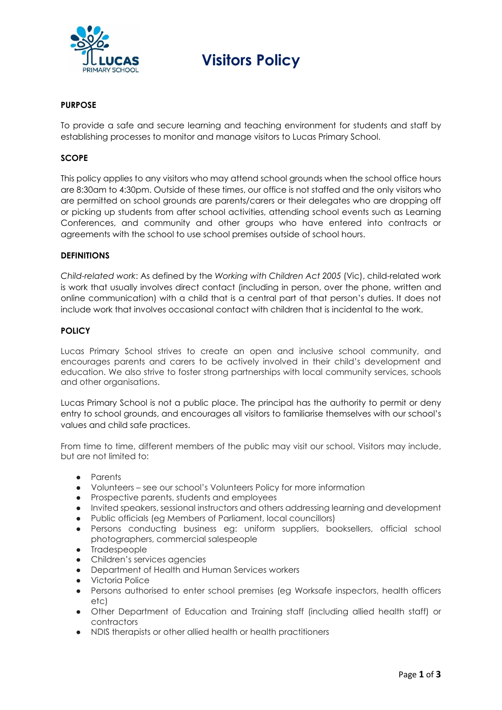

# **Visitors Policy**

# **PURPOSE**

To provide a safe and secure learning and teaching environment for students and staff by establishing processes to monitor and manage visitors to Lucas Primary School.

## **SCOPE**

This policy applies to any visitors who may attend school grounds when the school office hours are 8:30am to 4:30pm. Outside of these times, our office is not staffed and the only visitors who are permitted on school grounds are parents/carers or their delegates who are dropping off or picking up students from after school activities, attending school events such as Learning Conferences, and community and other groups who have entered into contracts or agreements with the school to use school premises outside of school hours.

### **DEFINITIONS**

*Child-related work*: As defined by the *Working with Children Act 2005* (Vic), child-related work is work that usually involves direct contact (including in person, over the phone, written and online communication) with a child that is a central part of that person's duties. It does not include work that involves occasional contact with children that is incidental to the work.

### **POLICY**

Lucas Primary School strives to create an open and inclusive school community, and encourages parents and carers to be actively involved in their child's development and education. We also strive to foster strong partnerships with local community services, schools and other organisations.

Lucas Primary School is not a public place. The principal has the authority to permit or deny entry to school grounds, and encourages all visitors to familiarise themselves with our school's values and child safe practices.

From time to time, different members of the public may visit our school. Visitors may include, but are not limited to:

- Parents
- Volunteers see our school's Volunteers Policy for more information
- Prospective parents, students and employees
- Invited speakers, sessional instructors and others addressing learning and development
- Public officials (eg Members of Parliament, local councillors)
- Persons conducting business eg: uniform suppliers, booksellers, official school photographers, commercial salespeople
- Tradespeople
- Children's services agencies
- Department of Health and Human Services workers
- Victoria Police
- Persons authorised to enter school premises (eg Worksafe inspectors, health officers etc)
- Other Department of Education and Training staff (including allied health staff) or contractors
- NDIS therapists or other allied health or health practitioners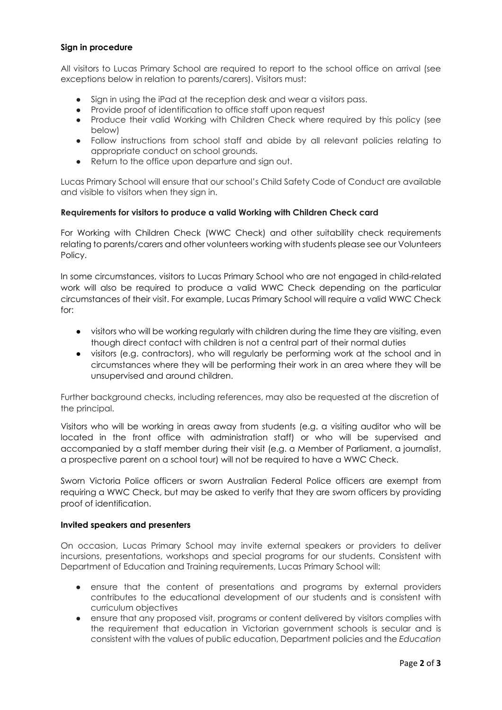## **Sign in procedure**

All visitors to Lucas Primary School are required to report to the school office on arrival (see exceptions below in relation to parents/carers). Visitors must:

- Sign in using the iPad at the reception desk and wear a visitors pass.
- Provide proof of identification to office staff upon request
- Produce their valid Working with Children Check where required by this policy (see below)
- Follow instructions from school staff and abide by all relevant policies relating to appropriate conduct on school grounds.
- Return to the office upon departure and sign out.

Lucas Primary School will ensure that our school's Child Safety Code of Conduct are available and visible to visitors when they sign in.

## **Requirements for visitors to produce a valid Working with Children Check card**

For Working with Children Check (WWC Check) and other suitability check requirements relating to parents/carers and other volunteers working with students please see our Volunteers Policy.

In some circumstances, visitors to Lucas Primary School who are not engaged in child-related work will also be required to produce a valid WWC Check depending on the particular circumstances of their visit. For example, Lucas Primary School will require a valid WWC Check for:

- visitors who will be working regularly with children during the time they are visiting, even though direct contact with children is not a central part of their normal duties
- visitors (e.g. contractors), who will regularly be performing work at the school and in circumstances where they will be performing their work in an area where they will be unsupervised and around children.

Further background checks, including references, may also be requested at the discretion of the principal.

Visitors who will be working in areas away from students (e.g. a visiting auditor who will be located in the front office with administration staff) or who will be supervised and accompanied by a staff member during their visit (e.g. a Member of Parliament, a journalist, a prospective parent on a school tour) will not be required to have a WWC Check.

Sworn Victoria Police officers or sworn Australian Federal Police officers are exempt from requiring a WWC Check, but may be asked to verify that they are sworn officers by providing proof of identification.

## **Invited speakers and presenters**

On occasion, Lucas Primary School may invite external speakers or providers to deliver incursions, presentations, workshops and special programs for our students. Consistent with Department of Education and Training requirements, Lucas Primary School will:

- ensure that the content of presentations and programs by external providers contributes to the educational development of our students and is consistent with curriculum objectives
- ensure that any proposed visit, programs or content delivered by visitors complies with the requirement that education in Victorian government schools is secular and is consistent with the values of public education, Department policies and the *Education*